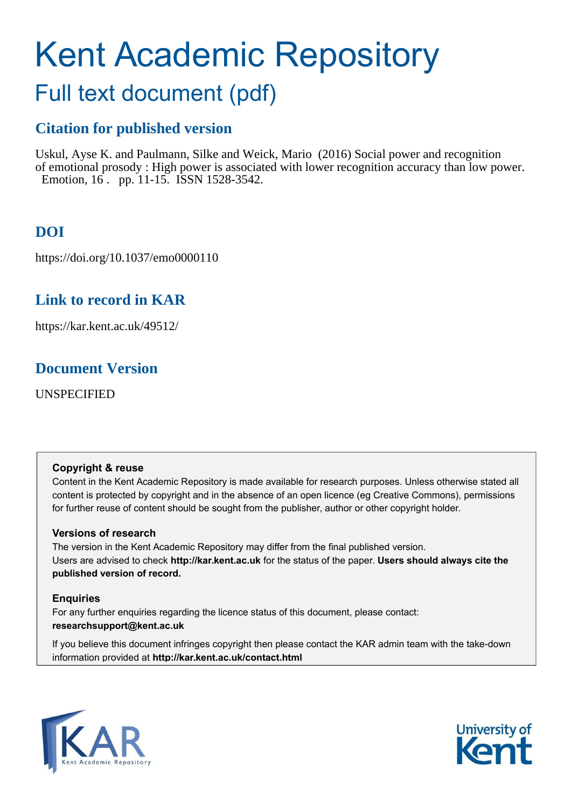# Kent Academic Repository

## Full text document (pdf)

## **Citation for published version**

Uskul, Ayse K. and Paulmann, Silke and Weick, Mario (2016) Social power and recognition of emotional prosody : High power is associated with lower recognition accuracy than low power. Emotion, 16. pp. 11-15. ISSN 1528-3542.

## **DOI**

https://doi.org/10.1037/emo0000110

## **Link to record in KAR**

https://kar.kent.ac.uk/49512/

### **Document Version**

UNSPECIFIED

#### **Copyright & reuse**

Content in the Kent Academic Repository is made available for research purposes. Unless otherwise stated all content is protected by copyright and in the absence of an open licence (eg Creative Commons), permissions for further reuse of content should be sought from the publisher, author or other copyright holder.

#### **Versions of research**

The version in the Kent Academic Repository may differ from the final published version. Users are advised to check **http://kar.kent.ac.uk** for the status of the paper. **Users should always cite the published version of record.**

#### **Enquiries**

For any further enquiries regarding the licence status of this document, please contact: **researchsupport@kent.ac.uk**

If you believe this document infringes copyright then please contact the KAR admin team with the take-down information provided at **http://kar.kent.ac.uk/contact.html**



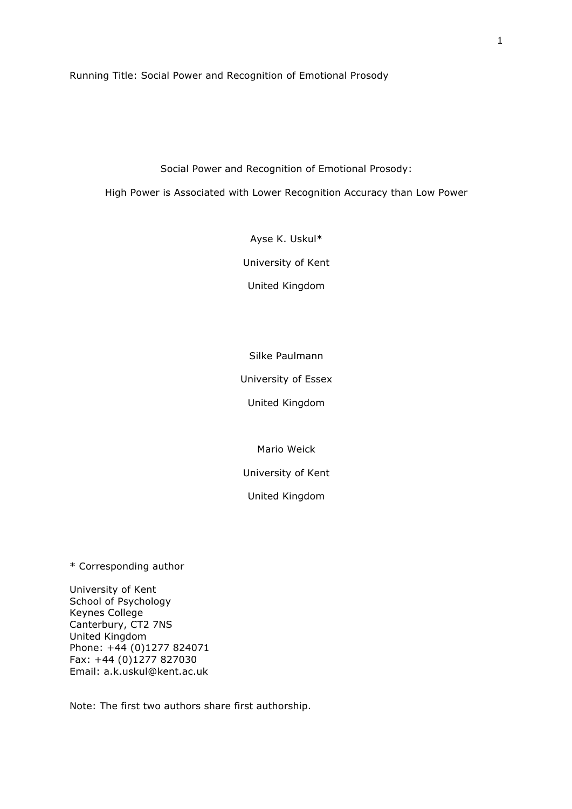Running Title: Social Power and Recognition of Emotional Prosody

Social Power and Recognition of Emotional Prosody:

High Power is Associated with Lower Recognition Accuracy than Low Power

Ayse K. Uskul\*

University of Kent

United Kingdom

Silke Paulmann

University of Essex

United Kingdom

Mario Weick

University of Kent

United Kingdom

\* Corresponding author

University of Kent School of Psychology Keynes College Canterbury, CT2 7NS United Kingdom Phone: +44 (0)1277 824071 Fax: +44 (0)1277 827030 Email: a.k.uskul@kent.ac.uk

Note: The first two authors share first authorship.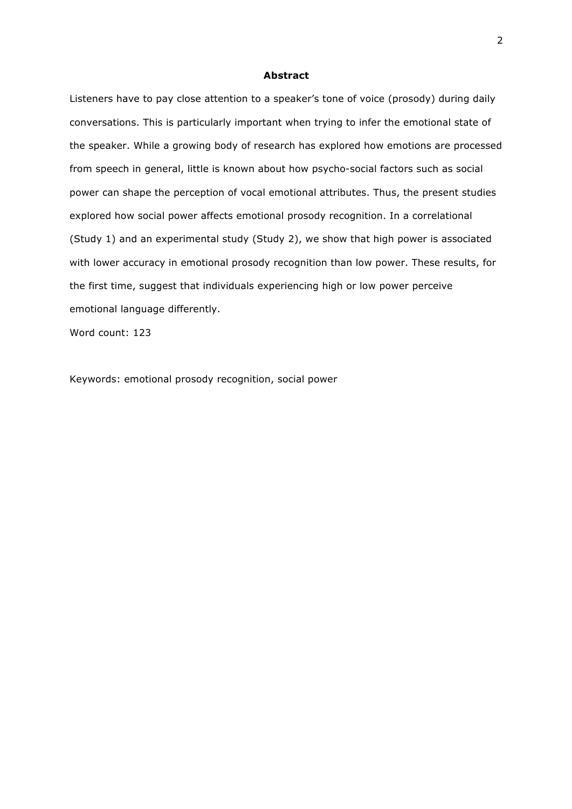#### **Abstract**

Listeners have to pay close attention to a speaker's tone of voice (prosody) during daily conversations. This is particularly important when trying to infer the emotional state of the speaker. While a growing body of research has explored how emotions are processed from speech in general, little is known about how psycho-social factors such as social power can shape the perception of vocal emotional attributes. Thus, the present studies explored how social power affects emotional prosody recognition. In a correlational (Study 1) and an experimental study (Study 2), we show that high power is associated with lower accuracy in emotional prosody recognition than low power. These results, for the first time, suggest that individuals experiencing high or low power perceive emotional language differently.

Word count: 123

Keywords: emotional prosody recognition, social power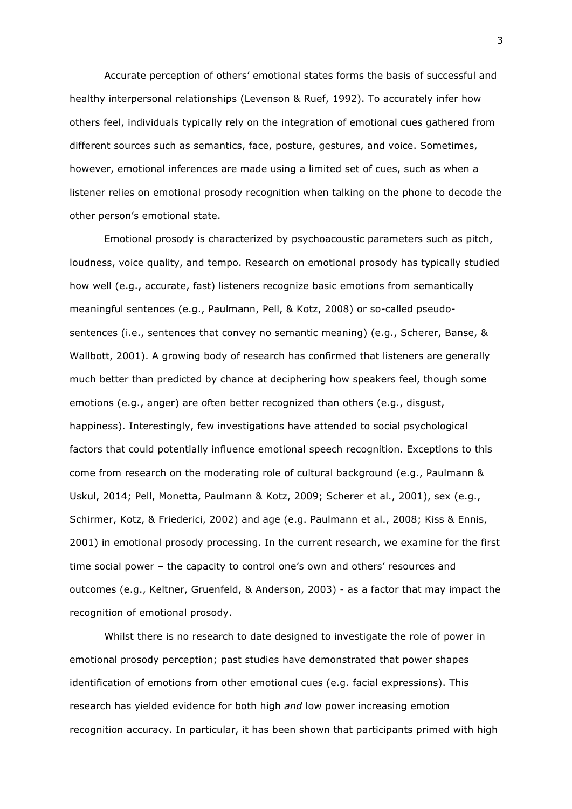Accurate perception of others' emotional states forms the basis of successful and healthy interpersonal relationships (Levenson & Ruef, 1992). To accurately infer how others feel, individuals typically rely on the integration of emotional cues gathered from different sources such as semantics, face, posture, gestures, and voice. Sometimes, however, emotional inferences are made using a limited set of cues, such as when a listener relies on emotional prosody recognition when talking on the phone to decode the other person's emotional state.

Emotional prosody is characterized by psychoacoustic parameters such as pitch, loudness, voice quality, and tempo. Research on emotional prosody has typically studied how well (e.g., accurate, fast) listeners recognize basic emotions from semantically meaningful sentences (e.g., Paulmann, Pell, & Kotz, 2008) or so-called pseudosentences (i.e., sentences that convey no semantic meaning) (e.g., Scherer, Banse, & Wallbott, 2001). A growing body of research has confirmed that listeners are generally much better than predicted by chance at deciphering how speakers feel, though some emotions (e.g., anger) are often better recognized than others (e.g., disgust, happiness). Interestingly, few investigations have attended to social psychological factors that could potentially influence emotional speech recognition. Exceptions to this come from research on the moderating role of cultural background (e.g., Paulmann & Uskul, 2014; Pell, Monetta, Paulmann & Kotz, 2009; Scherer et al., 2001), sex (e.g., Schirmer, Kotz, & Friederici, 2002) and age (e.g. Paulmann et al., 2008; Kiss & Ennis, 2001) in emotional prosody processing. In the current research, we examine for the first time social power – the capacity to control one's own and others' resources and outcomes (e.g., Keltner, Gruenfeld, & Anderson, 2003) - as a factor that may impact the recognition of emotional prosody.

Whilst there is no research to date designed to investigate the role of power in emotional prosody perception; past studies have demonstrated that power shapes identification of emotions from other emotional cues (e.g. facial expressions). This research has yielded evidence for both high *and* low power increasing emotion recognition accuracy. In particular, it has been shown that participants primed with high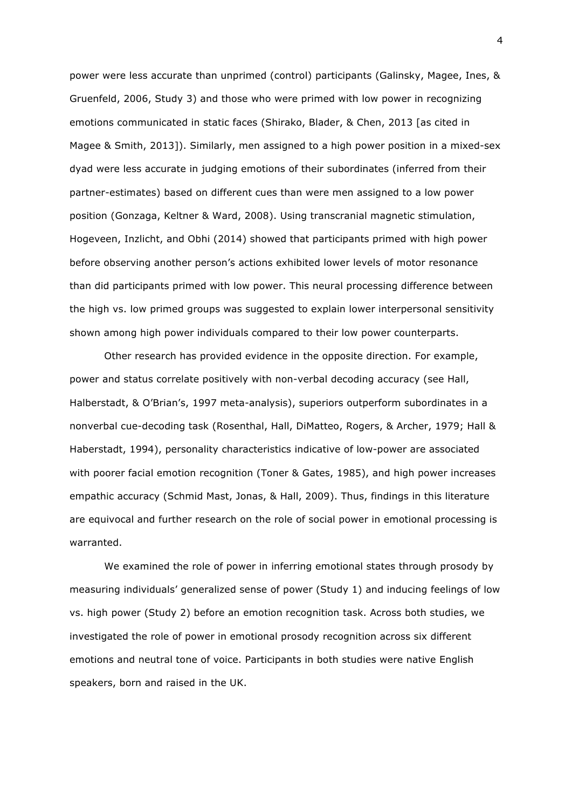power were less accurate than unprimed (control) participants (Galinsky, Magee, Ines, & Gruenfeld, 2006, Study 3) and those who were primed with low power in recognizing emotions communicated in static faces (Shirako, Blader, & Chen, 2013 [as cited in Magee & Smith, 2013]). Similarly, men assigned to a high power position in a mixed-sex dyad were less accurate in judging emotions of their subordinates (inferred from their partner-estimates) based on different cues than were men assigned to a low power position (Gonzaga, Keltner & Ward, 2008). Using transcranial magnetic stimulation, Hogeveen, Inzlicht, and Obhi (2014) showed that participants primed with high power before observing another person's actions exhibited lower levels of motor resonance than did participants primed with low power. This neural processing difference between the high vs. low primed groups was suggested to explain lower interpersonal sensitivity shown among high power individuals compared to their low power counterparts.

Other research has provided evidence in the opposite direction. For example, power and status correlate positively with non-verbal decoding accuracy (see Hall, Halberstadt, & O'Brian's, 1997 meta-analysis), superiors outperform subordinates in a nonverbal cue-decoding task (Rosenthal, Hall, DiMatteo, Rogers, & Archer, 1979; Hall & Haberstadt, 1994), personality characteristics indicative of low-power are associated with poorer facial emotion recognition (Toner & Gates, 1985), and high power increases empathic accuracy (Schmid Mast, Jonas, & Hall, 2009). Thus, findings in this literature are equivocal and further research on the role of social power in emotional processing is warranted.

We examined the role of power in inferring emotional states through prosody by measuring individuals' generalized sense of power (Study 1) and inducing feelings of low vs. high power (Study 2) before an emotion recognition task. Across both studies, we investigated the role of power in emotional prosody recognition across six different emotions and neutral tone of voice. Participants in both studies were native English speakers, born and raised in the UK.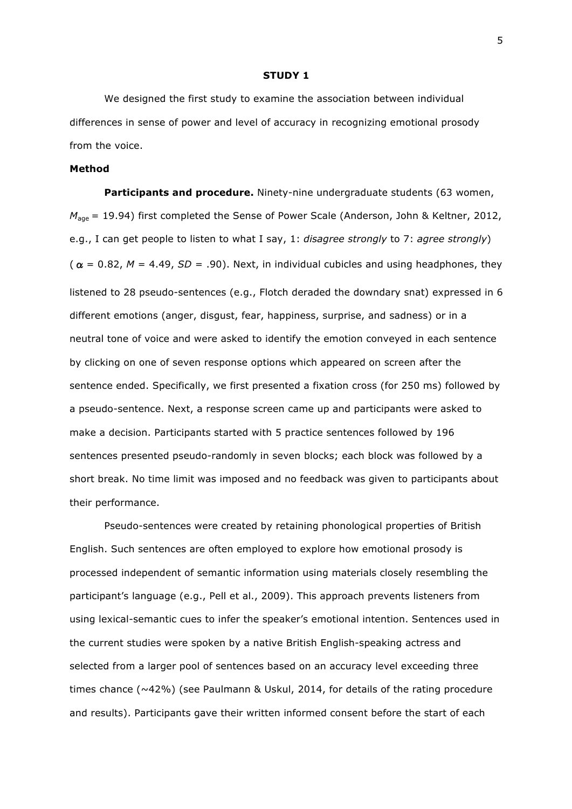#### **STUDY 1**

We designed the first study to examine the association between individual differences in sense of power and level of accuracy in recognizing emotional prosody from the voice.

#### **Method**

**Participants and procedure.** Ninety-nine undergraduate students (63 women, *M*<sub>age</sub> = 19.94) first completed the Sense of Power Scale (Anderson, John & Keltner, 2012, e.g., I can get people to listen to what I say, 1: *disagree strongly* to 7: *agree strongly*) ( $\alpha = 0.82$ ,  $M = 4.49$ ,  $SD = .90$ ). Next, in individual cubicles and using headphones, they listened to 28 pseudo-sentences (e.g., Flotch deraded the downdary snat) expressed in 6 different emotions (anger, disgust, fear, happiness, surprise, and sadness) or in a neutral tone of voice and were asked to identify the emotion conveyed in each sentence by clicking on one of seven response options which appeared on screen after the sentence ended. Specifically, we first presented a fixation cross (for 250 ms) followed by a pseudo-sentence. Next, a response screen came up and participants were asked to make a decision. Participants started with 5 practice sentences followed by 196 sentences presented pseudo-randomly in seven blocks; each block was followed by a short break. No time limit was imposed and no feedback was given to participants about their performance.

Pseudo-sentences were created by retaining phonological properties of British English. Such sentences are often employed to explore how emotional prosody is processed independent of semantic information using materials closely resembling the participant's language (e.g., Pell et al., 2009). This approach prevents listeners from using lexical-semantic cues to infer the speaker's emotional intention. Sentences used in the current studies were spoken by a native British English-speaking actress and selected from a larger pool of sentences based on an accuracy level exceeding three times chance ( $\sim$ 42%) (see Paulmann & Uskul, 2014, for details of the rating procedure and results). Participants gave their written informed consent before the start of each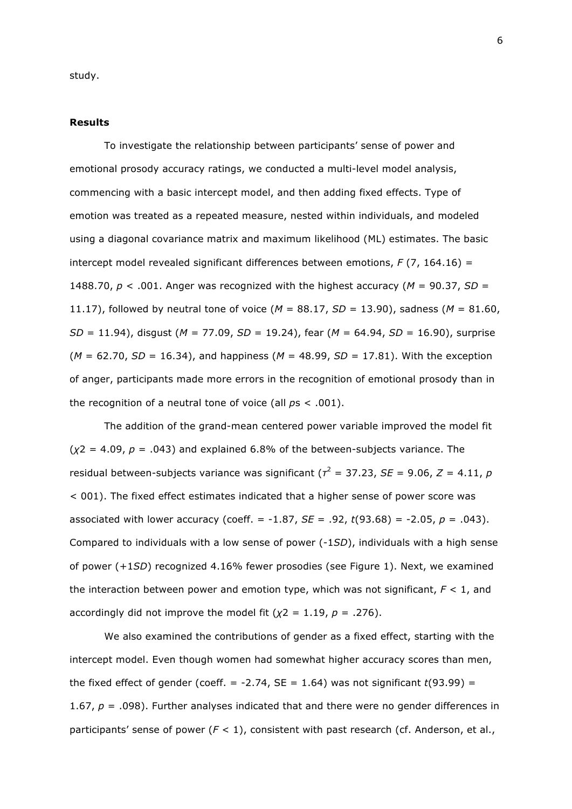study.

#### **Results**

To investigate the relationship between participants' sense of power and emotional prosody accuracy ratings, we conducted a multi-level model analysis, commencing with a basic intercept model, and then adding fixed effects. Type of emotion was treated as a repeated measure, nested within individuals, and modeled using a diagonal covariance matrix and maximum likelihood (ML) estimates. The basic intercept model revealed significant differences between emotions, *F* (7, 164.16) = 1488.70,  $p < .001$ . Anger was recognized with the highest accuracy ( $M = 90.37$ ,  $SD =$ 11.17), followed by neutral tone of voice (*M* = 88.17, *SD* = 13.90), sadness (*M* = 81.60, *SD* = 11.94), disgust (*M* = 77.09, *SD* = 19.24), fear (*M* = 64.94, *SD* = 16.90), surprise (*M* = 62.70, *SD* = 16.34), and happiness (*M* = 48.99, *SD* = 17.81). With the exception of anger, participants made more errors in the recognition of emotional prosody than in the recognition of a neutral tone of voice (all *p*s < .001).

The addition of the grand-mean centered power variable improved the model fit  $(\chi^2 = 4.09, p = .043)$  and explained 6.8% of the between-subjects variance. The residual between-subjects variance was significant (*τ* <sup>2</sup> = 37.23, *SE* = 9.06, *Z* = 4.11, *p* < 001). The fixed effect estimates indicated that a higher sense of power score was associated with lower accuracy (coeff. = -1.87, *SE* = .92, *t*(93.68) = -2.05, *p* = .043). Compared to individuals with a low sense of power (-1*SD*), individuals with a high sense of power (+1*SD*) recognized 4.16% fewer prosodies (see Figure 1). Next, we examined the interaction between power and emotion type, which was not significant, *F* < 1, and accordingly did not improve the model fit  $(\chi^2 = 1.19, p = .276)$ .

We also examined the contributions of gender as a fixed effect, starting with the intercept model. Even though women had somewhat higher accuracy scores than men, the fixed effect of gender (coeff.  $= -2.74$ , SE  $= 1.64$ ) was not significant  $t(93.99) =$ 1.67, *p* = .098). Further analyses indicated that and there were no gender differences in participants' sense of power (*F* < 1), consistent with past research (cf. Anderson, et al.,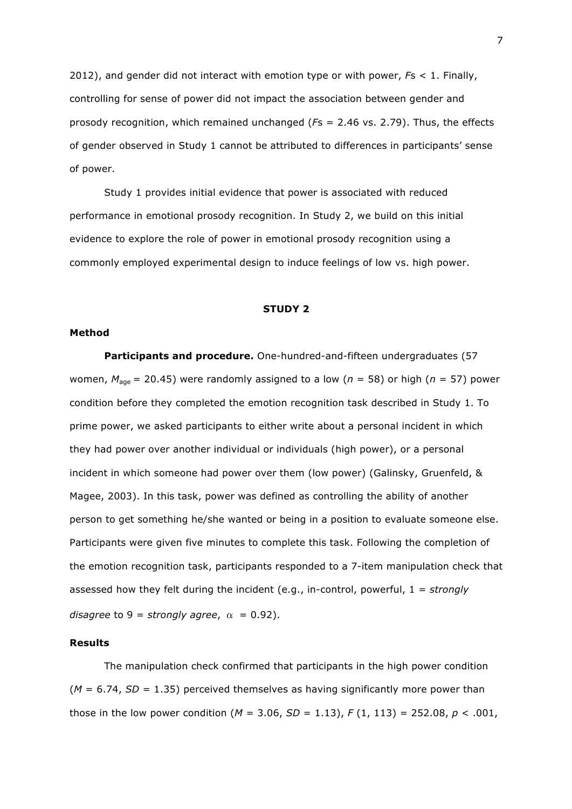2012), and gender did not interact with emotion type or with power, *F*s < 1. Finally, controlling for sense of power did not impact the association between gender and prosody recognition, which remained unchanged (*F*s = 2.46 vs. 2.79). Thus, the effects of gender observed in Study 1 cannot be attributed to differences in participants' sense of power.

Study 1 provides initial evidence that power is associated with reduced performance in emotional prosody recognition. In Study 2, we build on this initial evidence to explore the role of power in emotional prosody recognition using a commonly employed experimental design to induce feelings of low vs. high power.

#### **STUDY 2**

#### **Method**

**Participants and procedure.** One-hundred-and-fifteen undergraduates (57 women,  $M_{\text{age}} = 20.45$ ) were randomly assigned to a low ( $n = 58$ ) or high ( $n = 57$ ) power condition before they completed the emotion recognition task described in Study 1. To prime power, we asked participants to either write about a personal incident in which they had power over another individual or individuals (high power), or a personal incident in which someone had power over them (low power) (Galinsky, Gruenfeld, & Magee, 2003). In this task, power was defined as controlling the ability of another person to get something he/she wanted or being in a position to evaluate someone else. Participants were given five minutes to complete this task. Following the completion of the emotion recognition task, participants responded to a 7-item manipulation check that assessed how they felt during the incident (e.g., in-control, powerful, 1 = *strongly disagree* to 9 = *strongly agree*,  $\alpha$  = 0.92).

#### **Results**

The manipulation check confirmed that participants in the high power condition  $(M = 6.74, SD = 1.35)$  perceived themselves as having significantly more power than those in the low power condition ( $M = 3.06$ ,  $SD = 1.13$ ),  $F(1, 113) = 252.08$ ,  $p < .001$ ,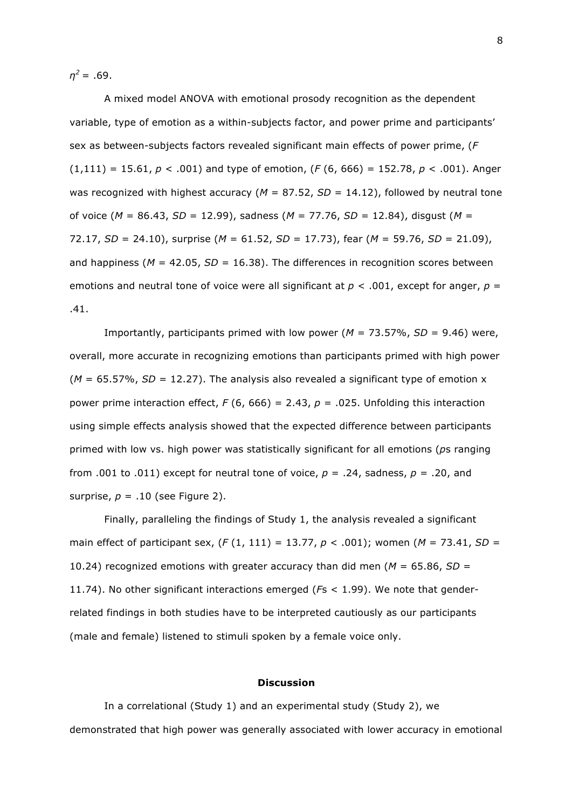*η <sup>2</sup>*= .69.

A mixed model ANOVA with emotional prosody recognition as the dependent variable, type of emotion as a within-subjects factor, and power prime and participants' sex as between-subjects factors revealed significant main effects of power prime, (*F* (1,111) = 15.61, *p* < .001) and type of emotion, (*F* (6, 666) = 152.78, *p* < .001). Anger was recognized with highest accuracy ( $M = 87.52$ ,  $SD = 14.12$ ), followed by neutral tone of voice (*M* = 86.43, *SD* = 12.99), sadness (*M* = 77.76, *SD* = 12.84), disgust (*M* = 72.17, *SD* = 24.10), surprise (*M* = 61.52, *SD* = 17.73), fear (*M* = 59.76, *SD* = 21.09), and happiness (*M* = 42.05, *SD* = 16.38). The differences in recognition scores between emotions and neutral tone of voice were all significant at  $p < .001$ , except for anger,  $p =$ .41.

Importantly, participants primed with low power (*M* = 73.57%, *SD* = 9.46) were, overall, more accurate in recognizing emotions than participants primed with high power  $(M = 65.57\%, SD = 12.27)$ . The analysis also revealed a significant type of emotion x power prime interaction effect,  $F(6, 666) = 2.43$ ,  $p = .025$ . Unfolding this interaction using simple effects analysis showed that the expected difference between participants primed with low vs. high power was statistically significant for all emotions (*p*s ranging from .001 to .011) except for neutral tone of voice,  $p = .24$ , sadness,  $p = .20$ , and surprise,  $p = .10$  (see Figure 2).

Finally, paralleling the findings of Study 1, the analysis revealed a significant main effect of participant sex, (*F* (1, 111) = 13.77, *p* < .001); women (*M* = 73.41, *SD* = 10.24) recognized emotions with greater accuracy than did men (*M* = 65.86, *SD* = 11.74). No other significant interactions emerged (*F*s < 1.99). We note that genderrelated findings in both studies have to be interpreted cautiously as our participants (male and female) listened to stimuli spoken by a female voice only.

#### **Discussion**

In a correlational (Study 1) and an experimental study (Study 2), we demonstrated that high power was generally associated with lower accuracy in emotional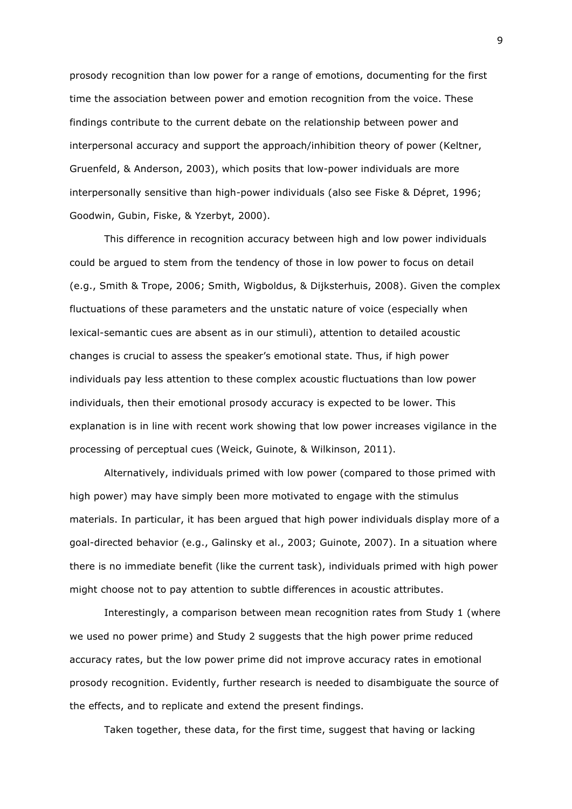prosody recognition than low power for a range of emotions, documenting for the first time the association between power and emotion recognition from the voice. These findings contribute to the current debate on the relationship between power and interpersonal accuracy and support the approach/inhibition theory of power (Keltner, Gruenfeld, & Anderson, 2003), which posits that low-power individuals are more interpersonally sensitive than high-power individuals (also see Fiske & Dépret, 1996; Goodwin, Gubin, Fiske, & Yzerbyt, 2000).

This difference in recognition accuracy between high and low power individuals could be argued to stem from the tendency of those in low power to focus on detail (e.g., Smith & Trope, 2006; Smith, Wigboldus, & Dijksterhuis, 2008). Given the complex fluctuations of these parameters and the unstatic nature of voice (especially when lexical-semantic cues are absent as in our stimuli), attention to detailed acoustic changes is crucial to assess the speaker's emotional state. Thus, if high power individuals pay less attention to these complex acoustic fluctuations than low power individuals, then their emotional prosody accuracy is expected to be lower. This explanation is in line with recent work showing that low power increases vigilance in the processing of perceptual cues (Weick, Guinote, & Wilkinson, 2011).

Alternatively, individuals primed with low power (compared to those primed with high power) may have simply been more motivated to engage with the stimulus materials. In particular, it has been argued that high power individuals display more of a goal-directed behavior (e.g., Galinsky et al., 2003; Guinote, 2007). In a situation where there is no immediate benefit (like the current task), individuals primed with high power might choose not to pay attention to subtle differences in acoustic attributes.

Interestingly, a comparison between mean recognition rates from Study 1 (where we used no power prime) and Study 2 suggests that the high power prime reduced accuracy rates, but the low power prime did not improve accuracy rates in emotional prosody recognition. Evidently, further research is needed to disambiguate the source of the effects, and to replicate and extend the present findings.

Taken together, these data, for the first time, suggest that having or lacking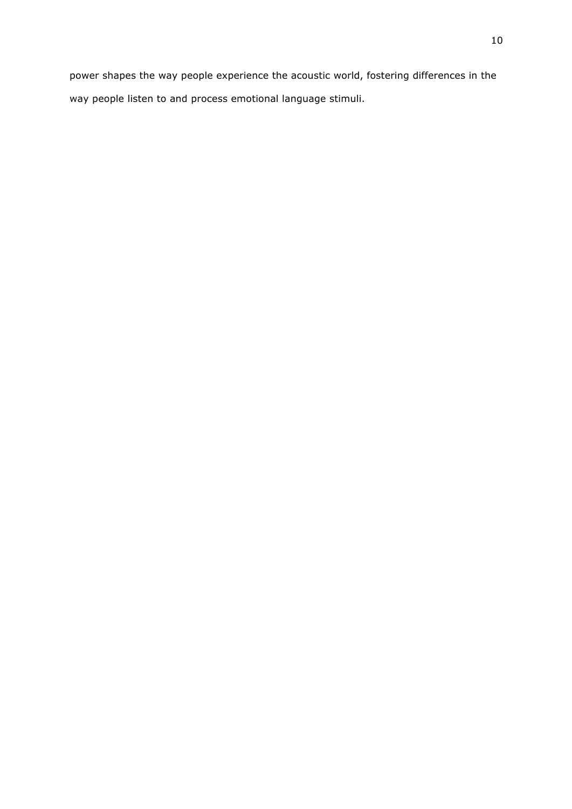power shapes the way people experience the acoustic world, fostering differences in the way people listen to and process emotional language stimuli.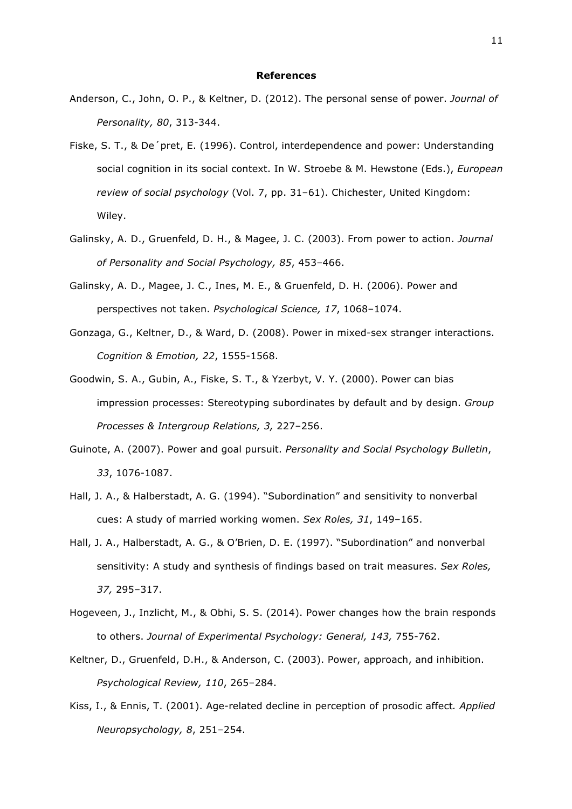#### **References**

- Anderson, C., John, O. P., & Keltner, D. (2012). The personal sense of power. *Journal of Personality, 80*, 313-344.
- Fiske, S. T., & De´pret, E. (1996). Control, interdependence and power: Understanding social cognition in its social context. In W. Stroebe & M. Hewstone (Eds.), *European review of social psychology* (Vol. 7, pp. 31–61). Chichester, United Kingdom: Wiley.
- Galinsky, A. D., Gruenfeld, D. H., & Magee, J. C. (2003). From power to action. *Journal of Personality and Social Psychology, 85*, 453–466.
- Galinsky, A. D., Magee, J. C., Ines, M. E., & Gruenfeld, D. H. (2006). Power and perspectives not taken. *Psychological Science, 17*, 1068–1074.
- Gonzaga, G., Keltner, D., & Ward, D. (2008). Power in mixed-sex stranger interactions. *Cognition & Emotion, 22*, 1555-1568.
- Goodwin, S. A., Gubin, A., Fiske, S. T., & Yzerbyt, V. Y. (2000). Power can bias impression processes: Stereotyping subordinates by default and by design. *Group Processes & Intergroup Relations, 3,* 227–256.
- Guinote, A. (2007). Power and goal pursuit. *Personality and Social Psychology Bulletin*, *33*, 1076-1087.
- Hall, J. A., & Halberstadt, A. G. (1994). "Subordination" and sensitivity to nonverbal cues: A study of married working women. *Sex Roles, 31*, 149–165.
- Hall, J. A., Halberstadt, A. G., & O'Brien, D. E. (1997). "Subordination" and nonverbal sensitivity: A study and synthesis of findings based on trait measures. *Sex Roles, 37,* 295–317.
- Hogeveen, J., Inzlicht, M., & Obhi, S. S. (2014). Power changes how the brain responds to others. *Journal of Experimental Psychology: General, 143,* 755-762.
- Keltner, D., Gruenfeld, D.H., & Anderson, C. (2003). Power, approach, and inhibition. *Psychological Review, 110*, 265–284.
- Kiss, I., & Ennis, T. (2001). Age-related decline in perception of prosodic affect*. Applied Neuropsychology, 8*, 251–254.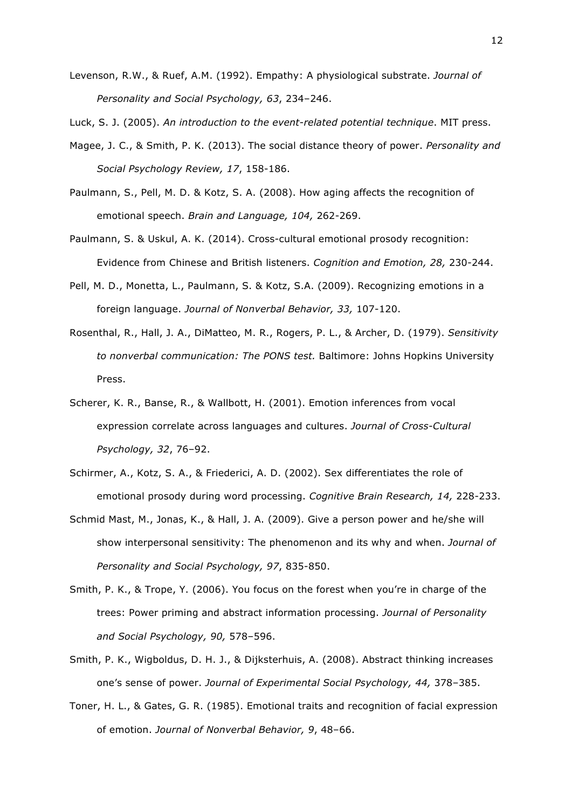- Levenson, R.W., & Ruef, A.M. (1992). Empathy: A physiological substrate. *Journal of Personality and Social Psychology, 63*, 234–246.
- Luck, S. J. (2005). *An introduction to the event-related potential technique*. MIT press.
- Magee, J. C., & Smith, P. K. (2013). The social distance theory of power. *Personality and Social Psychology Review, 17*, 158-186.
- Paulmann, S., Pell, M. D. & Kotz, S. A. (2008). How aging affects the recognition of emotional speech. *Brain and Language, 104,* 262-269.
- Paulmann, S. & Uskul, A. K. (2014). Cross-cultural emotional prosody recognition: Evidence from Chinese and British listeners. *Cognition and Emotion, 28,* 230-244.
- Pell, M. D., Monetta, L., Paulmann, S. & Kotz, S.A. (2009). Recognizing emotions in a foreign language. *Journal of Nonverbal Behavior, 33,* 107-120.
- Rosenthal, R., Hall, J. A., DiMatteo, M. R., Rogers, P. L., & Archer, D. (1979). *Sensitivity to nonverbal communication: The PONS test.* Baltimore: Johns Hopkins University Press.
- Scherer, K. R., Banse, R., & Wallbott, H. (2001). Emotion inferences from vocal expression correlate across languages and cultures. *Journal of Cross-Cultural Psychology, 32*, 76–92.
- Schirmer, A., Kotz, S. A., & Friederici, A. D. (2002). Sex differentiates the role of emotional prosody during word processing. *Cognitive Brain Research, 14,* 228-233.
- Schmid Mast, M., Jonas, K., & Hall, J. A. (2009). Give a person power and he/she will show interpersonal sensitivity: The phenomenon and its why and when. *Journal of Personality and Social Psychology, 97*, 835-850.
- Smith, P. K., & Trope, Y. (2006). You focus on the forest when you're in charge of the trees: Power priming and abstract information processing. *Journal of Personality and Social Psychology, 90,* 578–596.
- Smith, P. K., Wigboldus, D. H. J., & Dijksterhuis, A. (2008). Abstract thinking increases one's sense of power. *Journal of Experimental Social Psychology, 44,* 378–385.
- Toner, H. L., & Gates, G. R. (1985). Emotional traits and recognition of facial expression of emotion. *Journal of Nonverbal Behavior, 9*, 48–66.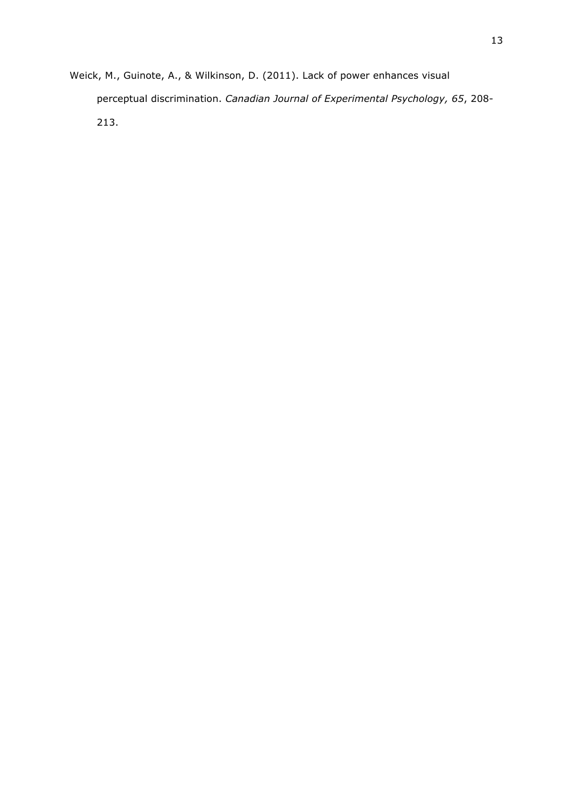Weick, M., Guinote, A., & Wilkinson, D. (2011). Lack of power enhances visual perceptual discrimination. *Canadian Journal of Experimental Psychology, 65*, 208- 213.